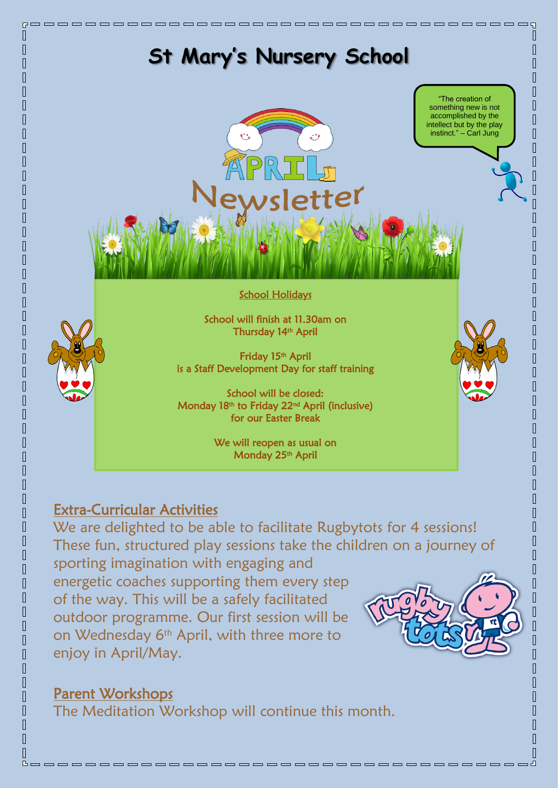

energetic coaches supporting them every step of the way. This will be a safely facilitated outdoor programme. Our first session will be on Wednesday 6<sup>th</sup> April, with three more to enjoy in April/May.



Parent Workshops

 $\mathbb \Pi$ 

 $\mathbb \Pi$  $\overline{\Pi}$  $\sqrt{ }$  $\sqrt{ }$ 

 $\overline{\Pi}$  $\sqrt{ }$  $\sqrt{ }$ 

 $\overline{\Pi}$  $\sqrt{ }$  $\overline{\mathbb{R}}$  $\begin{bmatrix} 1 \\ 2 \end{bmatrix}$  $\overline{\mathbb{R}}$  $\begin{array}{c} \hline \end{array}$  $\begin{array}{c} \hline \end{array}$  $\sqrt{2}$  $\overline{\mathbb{I}}$  $\overline{\mathbb{R}}$ 

 $\overline{\Pi}$ 

 $\overline{\Pi}$  $\overline{\mathbb{I}}$  $\overline{\Pi}$  $\overline{\mathbb{R}}$  $\overline{\mathbb{I}}$  $\sqrt{2}$  $\sqrt{2}$  $\overline{\mathbb{R}}$  $\sqrt{ }$  $\begin{array}{c} \hline \end{array}$  $\sqrt{2}$  $\sqrt{2}$  $\sqrt{ }$  $\overline{\mathbb{R}}$  $\sqrt{ }$  $\overline{\mathbb{R}}$  $\overline{\mathbb{R}}$  $\sqrt{ }$  $\sqrt{ }$ 

The Meditation Workshop will continue this month.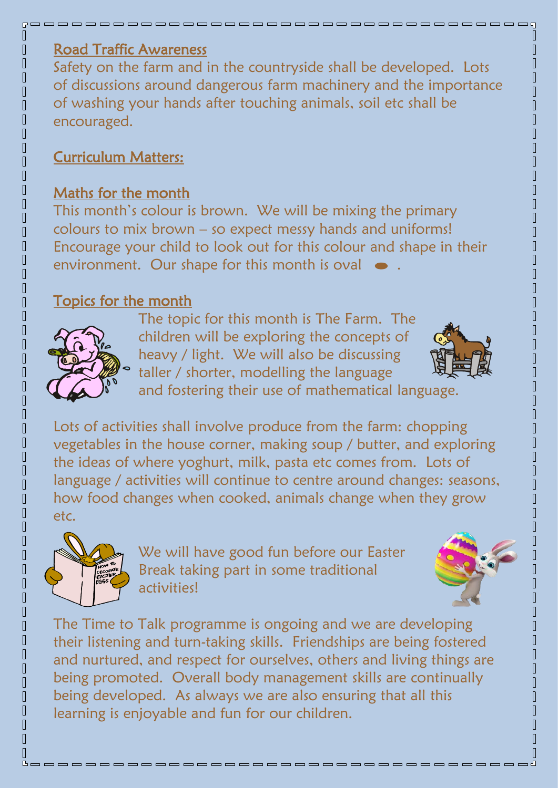### Road Traffic Awareness

Safety on the farm and in the countryside shall be developed. Lots of discussions around dangerous farm machinery and the importance of washing your hands after touching animals, soil etc shall be encouraged.

# Curriculum Matters:

#### Maths for the month

This month's colour is brown. We will be mixing the primary colours to mix brown – so expect messy hands and uniforms! Encourage your child to look out for this colour and shape in their environment. Our shape for this month is oval  $\bullet$ 

# Topics for the month



The topic for this month is The Farm. The children will be exploring the concepts of heavy / light. We will also be discussing taller / shorter, modelling the language



and fostering their use of mathematical language.

Lots of activities shall involve produce from the farm: chopping vegetables in the house corner, making soup / butter, and exploring the ideas of where yoghurt, milk, pasta etc comes from. Lots of language / activities will continue to centre around changes: seasons, how food changes when cooked, animals change when they grow etc.



We will have good fun before our Easter Break taking part in some traditional activities!



The Time to Talk programme is ongoing and we are developing their listening and turn-taking skills. Friendships are being fostered and nurtured, and respect for ourselves, others and living things are being promoted. Overall body management skills are continually being developed. As always we are also ensuring that all this learning is enjoyable and fun for our children.